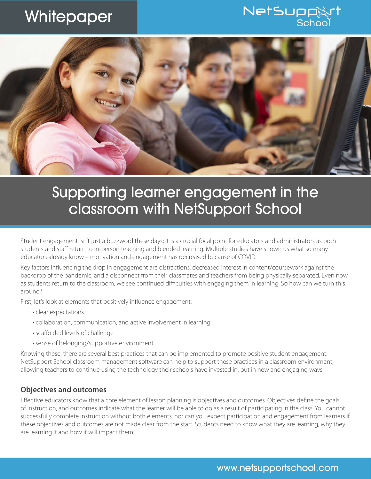# **Whitepaper**

## **NetSupp** Schoc



## Supporting learner engagement in the classroom with NetSupport School

Student engagement isn't just a buzzword these days; it is a crucial focal point for educators and administrators as both students and staff return to in-person teaching and blended learning. Multiple studies have shown us what so many educators already know – motivation and engagement has decreased because of COVID.

Key factors influencing the drop in engagement are distractions, decreased interest in content/coursework against the backdrop of the pandemic, and a disconnect from their classmates and teachers from being physically separated. Even now, as students return to the classroom, we see continued difficulties with engaging them in learning. So how can we turn this around?

First, let's look at elements that positively influence engagement:

- clear expectations
- collaboration, communication, and active involvement in learning
- scaffolded levels of challenge
- sense of belonging/supportive environment.

Knowing these, there are several best practices that can be implemented to promote positive student engagement. NetSupport School classroom management software can help to support these practices in a classroom environment, allowing teachers to continue using the technology their schools have invested in, but in new and engaging ways.

#### **Objectives and outcomes**

Effective educators know that a core element of lesson planning is objectives and outcomes. Objectives define the goals of instruction, and outcomes indicate what the learner will be able to do as a result of participating in the class. You cannot successfully complete instruction without both elements, nor can you expect participation and engagement from learners if these objectives and outcomes are not made clear from the start. Students need to know what they are learning, why they are learning it and how it will impact them.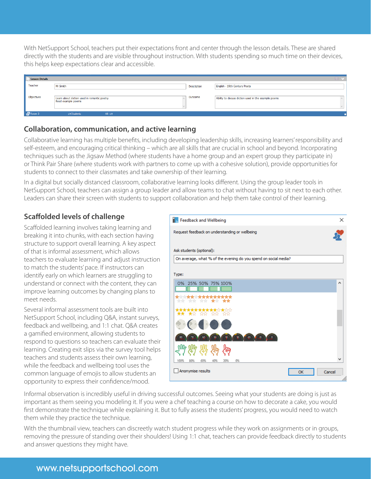With NetSupport School, teachers put their expectations front and center through the lesson details. These are shared directly with the students and are visible throughout instruction. With students spending so much time on their devices, this helps keep expectations clear and accessible.

| <b>Lesson Details</b> |                                                                   |                    | $\mathbb{R}$ v                                       |
|-----------------------|-------------------------------------------------------------------|--------------------|------------------------------------------------------|
| Teacher               | Mr Smith                                                          | <b>Description</b> | English - 19th Century Poets                         |
| Objectives            | Learn about diction used in romantic poetry<br>Read example poems | Outcome            | Ability to discuss diction used in the example poems |
| Room3                 | 19 Students<br>All:19                                             |                    |                                                      |

### **Collaboration, communication, and active learning**

Collaborative learning has multiple benefits, including developing leadership skills, increasing learners' responsibility and self-esteem, and encouraging critical thinking – which are all skills that are crucial in school and beyond. Incorporating techniques such as the Jigsaw Method (where students have a home group and an expert group they participate in) or Think Pair Share (where students work with partners to come up with a cohesive solution), provide opportunities for students to connect to their classmates and take ownership of their learning.

In a digital but socially distanced classroom, collaborative learning looks different. Using the group leader tools in NetSupport School, teachers can assign a group leader and allow teams to chat without having to sit next to each other. Leaders can share their screen with students to support collaboration and help them take control of their learning.

## **Scaffolded levels of challenge**

Scaffolded learning involves taking learning and breaking it into chunks, with each section having structure to support overall learning. A key aspect of that is informal assessment, which allows teachers to evaluate learning and adjust instruction to match the students' pace. If instructors can identify early on which learners are struggling to understand or connect with the content, they can improve learning outcomes by changing plans to meet needs.

Several informal assessment tools are built into NetSupport School, including Q&A, instant surveys, feedback and wellbeing, and 1:1 chat. Q&A creates a gamified environment, allowing students to respond to questions so teachers can evaluate their learning. Creating exit slips via the survey tool helps teachers and students assess their own learning, while the feedback and wellbeing tool uses the common language of emojis to allow students an opportunity to express their confidence/mood.

| <b>T</b> Feedback and Wellbeing                                 | ×      |
|-----------------------------------------------------------------|--------|
| Request feedback on understanding or wellbeing                  |        |
| Ask students (optional):                                        |        |
| On average, what % of the evening do you spend on social media? |        |
|                                                                 |        |
| Type:                                                           |        |
| 0% 25% 50% 75% 100%                                             | ́      |
| ŵ<br>T.C<br>ŵ<br>x                                              |        |
| ww                                                              |        |
|                                                                 |        |
|                                                                 |        |
|                                                                 |        |
| 6%<br>20%<br>100%<br>80%<br>60%<br>40%                          |        |
| Anonymise results<br>OK                                         | Cancel |
|                                                                 |        |

Informal observation is incredibly useful in driving successful outcomes. Seeing what your students are doing is just as important as them seeing you modeling it. If you were a chef teaching a course on how to decorate a cake, you would first demonstrate the technique while explaining it. But to fully assess the students' progress, you would need to watch them while they practice the technique.

With the thumbnail view, teachers can discreetly watch student progress while they work on assignments or in groups, removing the pressure of standing over their shoulders! Using 1:1 chat, teachers can provide feedback directly to students and answer questions they might have.

## www.netsupportschool.com